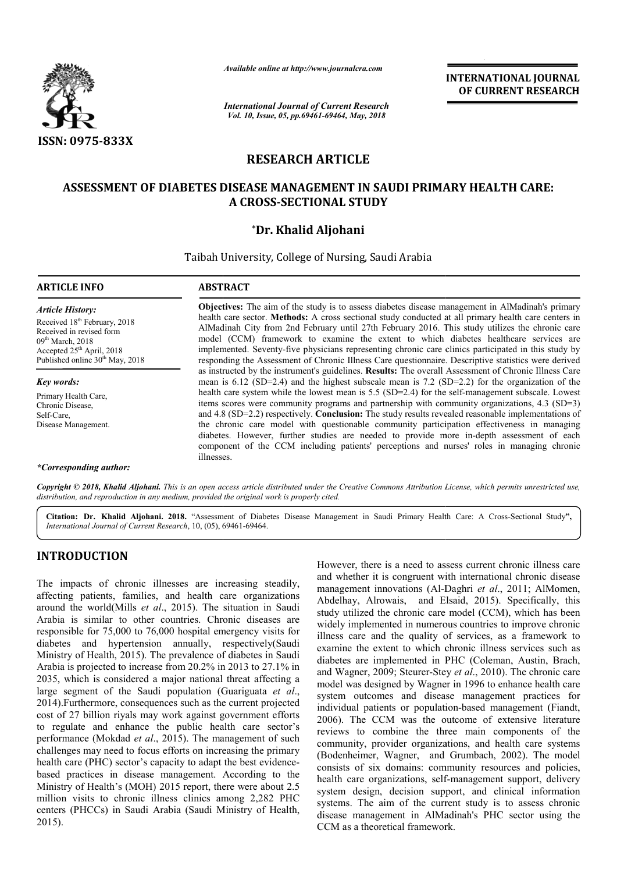

*Available online at http://www.journalcra.com*

*International Journal of Current Research Vol. 10, Issue, 05, pp.69461-69464, May, 2018*

**INTERNATIONAL JOURNAL OF CURRENT RESEARCH**

# **RESEARCH ARTICLE**

### **ASSESSMENT OF DIABETES DISEASE MANAGEMENT IN SAUDI PRIMARY HEALTH CARE: ASSESSMENT A CROSS-SECTIONAL STUDY**

### **\*Dr. Khalid Aljohani**

Taibah University, College of Nursing, Saudi Arabia

| <b>ARTICLE INFO</b>                                                                                                                                                                                           | <b>ABSTRACT</b>                                                                                                                                                                                                                                                                                                                                                                                                                                                                                                                                                                                                             |
|---------------------------------------------------------------------------------------------------------------------------------------------------------------------------------------------------------------|-----------------------------------------------------------------------------------------------------------------------------------------------------------------------------------------------------------------------------------------------------------------------------------------------------------------------------------------------------------------------------------------------------------------------------------------------------------------------------------------------------------------------------------------------------------------------------------------------------------------------------|
| <b>Article History:</b><br>Received 18 <sup>th</sup> February, 2018<br>Received in revised form<br>09 <sup>th</sup> March, 2018<br>Accepted $25th$ April, 2018<br>Published online 30 <sup>th</sup> May, 2018 | <b>Objectives:</b> The aim of the study is to assess diabetes disease management in AlMadinah's primary<br>health care sector. Methods: A cross sectional study conducted at all primary health care centers in<br>AlMadinah City from 2nd February until 27th February 2016. This study utilizes the chronic care<br>model (CCM) framework to examine the extent to which diabetes healthcare services are<br>implemented. Seventy-five physicians representing chronic care clinics participated in this study by<br>responding the Assessment of Chronic Illness Care questionnaire. Descriptive statistics were derived |
| Key words:                                                                                                                                                                                                    | as instructed by the instrument's guidelines. <b>Results:</b> The overall Assessment of Chronic Illness Care<br>mean is $6.12$ (SD=2.4) and the highest subscale mean is 7.2 (SD=2.2) for the organization of the                                                                                                                                                                                                                                                                                                                                                                                                           |
| Primary Health Care,<br>Chronic Disease.<br>Self-Care,<br>Disease Management.                                                                                                                                 | health care system while the lowest mean is 5.5 (SD=2.4) for the self-management subscale. Lowest<br>items scores were community programs and partnership with community organizations, $4.3$ (SD=3)<br>and 4.8 (SD=2.2) respectively. Conclusion: The study results revealed reasonable implementations of<br>the chronic care model with questionable community participation effectiveness in managing<br>diabetes. However, further studies are needed to provide more in-depth assessment of each<br>component of the CCM including patients' perceptions and nurses' roles in managing chronic<br>illnesses.          |
| *Corresponding author:                                                                                                                                                                                        |                                                                                                                                                                                                                                                                                                                                                                                                                                                                                                                                                                                                                             |

Copyright © 2018, Khalid Aljohani. This is an open access article distributed under the Creative Commons Attribution License, which permits unrestricted use, *distribution, and reproduction in any medium, provided the original work is properly cited.*

Citation: Dr. Khalid Aljohani. 2018. "Assessment of Diabetes Disease Management in Saudi Primary Health Care: A Cross-Sectional Study", **Citation: Dr. Khalid Aljohani. 2018.** "Assessment of Diaberth *International Journal of Current Research*, 10, (05), 69461-69464.

## **INTRODUCTION**

The impacts of chronic illnesses are increasing steadily, affecting patients, families, and health care organizations around the world(Mills *et al*., 2015). The situation in Saudi Arabia is similar to other countries. Chronic diseases are responsible for 75,000 to 76,000 hospital emergency visits for diabetes and hypertension annually, respectively (Saudi Ministry of Health, 2015). The prevalence of diabetes in Saudi . Arabia is projected to increase from 20.2% in 2013 to 27.1% in 2035, which is considered a major national threat affecting a large segment of the Saudi population (Guariguata *et al*., 2014).Furthermore, consequences such as the current projected cost of 27 billion riyals may work against government efforts to regulate and enhance the public health care sector's performance (Mokdad *et al*., 2015). The management of such challenges may need to focus efforts on increasing the primary health care (PHC) sector's capacity to adapt the best evidencebased practices in disease management. According to the Ministry of Health's (MOH) 2015 report, there were about 2.5 million visits to chronic illness clinics among 2,282 PHC centers (PHCCs) in Saudi Arabia (Saudi Ministry of Health, 2015). . The situation in Saudi<br>s. Chronic diseases are<br>bital emergency visits for<br>ally, respectively(Saudi However, there is a need to assess current chronic illness care and whether it is congruent with international chronic disease However, there is a need to assess current chronic illness care<br>and whether it is congruent with international chronic disease<br>management innovations (Al-Daghri *et al.*, 2011; AlMomen, Abdelhay, Alrowais, and Elsaid, 2015) 2015). Specifically, this study utilized the chronic care model (CCM), which has been widely implemented in numerous countries to improve chronic illness care and the quality of services, as a framework to study utilized the chronic care model (CCM), which has been widely implemented in numerous countries to improve chronic illness care and the quality of services, as a framework to examine the extent to which chronic illnes diabetes are implemented in PHC (Coleman, Austin, Brach, and Wagner, 2009; Steurer-Stey et al., 2010). The chronic care model was designed by Wagner in 1996 to enhance health care system outcomes and disease management practices for model was designed by Wagner in 1996 to enhance health care<br>system outcomes and disease management practices for<br>individual patients or population-based management (Fiandt, 2006). The CCM was the outcome of extensive literature reviews to combine the three main components of the community, provider organizations, and health care systems 2006). The CCM was the outcome of extensive literature reviews to combine the three main components of the community, provider organizations, and health care systems (Bodenheimer, Wagner, and Grumbach, 2002). The model consists of six domains: community resources and policies, consists of six domains: community resources and policies, health care organizations, self-management support, delivery system design, decision support, and clinical information systems. The aim of the current study is to assess chronic disease management in AlMadinah's PHC sector using the CCM as a theoretical framework. INTERNATIONAL JOURNAL<br> **ENSERATE CONDUMAL CONDUMAL CONDUMAL CONDUCT (THE CONDUMAL CONDUMAL CONDUMAL CONDUMAL CONDUMAL CONDUMAL CONDUMAL CONDUMAL CONDUMAL CONDUMBATION (THE TIME SAULT CONDUMAL THE SAULT PROPERTIENT CONDUMA**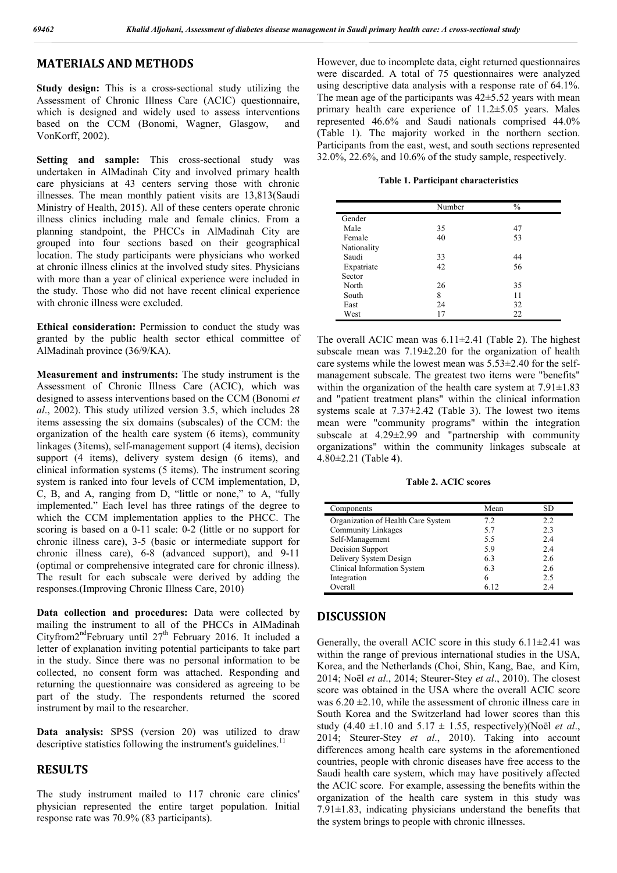### **MATERIALS AND METHODS**

**Study design:** This is a cross-sectional study utilizing the Assessment of Chronic Illness Care (ACIC) questionnaire, which is designed and widely used to assess interventions based on the CCM (Bonomi, Wagner, Glasgow, and VonKorff, 2002).

**Setting and sample:** This cross-sectional study was undertaken in AlMadinah City and involved primary health care physicians at 43 centers serving those with chronic illnesses. The mean monthly patient visits are 13,813(Saudi Ministry of Health, 2015). All of these centers operate chronic illness clinics including male and female clinics. From a planning standpoint, the PHCCs in AlMadinah City are grouped into four sections based on their geographical location. The study participants were physicians who worked at chronic illness clinics at the involved study sites. Physicians with more than a year of clinical experience were included in the study. Those who did not have recent clinical experience with chronic illness were excluded.

**Ethical consideration:** Permission to conduct the study was granted by the public health sector ethical committee of AlMadinah province (36/9/KA).

**Measurement and instruments:** The study instrument is the Assessment of Chronic Illness Care (ACIC), which was designed to assess interventions based on the CCM (Bonomi *et al*., 2002). This study utilized version 3.5, which includes 28 items assessing the six domains (subscales) of the CCM: the organization of the health care system (6 items), community linkages (3items), self-management support (4 items), decision support (4 items), delivery system design (6 items), and clinical information systems (5 items). The instrument scoring system is ranked into four levels of CCM implementation, D, C, B, and A, ranging from D, "little or none," to A, "fully implemented." Each level has three ratings of the degree to which the CCM implementation applies to the PHCC. The scoring is based on a 0-11 scale: 0-2 (little or no support for chronic illness care), 3-5 (basic or intermediate support for chronic illness care), 6-8 (advanced support), and 9-11 (optimal or comprehensive integrated care for chronic illness). The result for each subscale were derived by adding the responses.(Improving Chronic Illness Care, 2010)

**Data collection and procedures:** Data were collected by mailing the instrument to all of the PHCCs in AlMadinah Cityfrom $2^{nd}$ February until  $27^{th}$  February 2016. It included a letter of explanation inviting potential participants to take part in the study. Since there was no personal information to be collected, no consent form was attached. Responding and returning the questionnaire was considered as agreeing to be part of the study. The respondents returned the scored instrument by mail to the researcher.

**Data analysis:** SPSS (version 20) was utilized to draw descriptive statistics following the instrument's guidelines. $11$ 

#### **RESULTS**

The study instrument mailed to 117 chronic care clinics' physician represented the entire target population. Initial response rate was 70.9% (83 participants).

However, due to incomplete data, eight returned questionnaires were discarded. A total of 75 questionnaires were analyzed using descriptive data analysis with a response rate of 64.1%. The mean age of the participants was  $42\pm5.52$  years with mean primary health care experience of 11.2±5.05 years. Males represented 46.6% and Saudi nationals comprised 44.0% (Table 1). The majority worked in the northern section. Participants from the east, west, and south sections represented 32.0%, 22.6%, and 10.6% of the study sample, respectively.

**Table 1. Participant characteristics**

|             | Number | $\frac{0}{0}$ |  |
|-------------|--------|---------------|--|
| Gender      |        |               |  |
| Male        | 35     | 47            |  |
| Female      | 40     | 53            |  |
| Nationality |        |               |  |
| Saudi       | 33     | 44            |  |
| Expatriate  | 42     | 56            |  |
| Sector      |        |               |  |
| North       | 26     | 35            |  |
| South       | 8      | 11            |  |
| East        | 24     | 32            |  |
| West        | 17     | 22            |  |

The overall ACIC mean was  $6.11 \pm 2.41$  (Table 2). The highest subscale mean was 7.19±2.20 for the organization of health care systems while the lowest mean was  $5.53\pm2.40$  for the selfmanagement subscale. The greatest two items were "benefits" within the organization of the health care system at  $7.91 \pm 1.83$ and "patient treatment plans" within the clinical information systems scale at 7.37±2.42 (Table 3). The lowest two items mean were "community programs" within the integration subscale at 4.29±2.99 and "partnership with community organizations" within the community linkages subscale at 4.80±2.21 (Table 4).

**Table 2. ACIC scores**

| Components                         | Mean | SD  |
|------------------------------------|------|-----|
| Organization of Health Care System | 7.2  | 2.2 |
| <b>Community Linkages</b>          | 5.7  | 2.3 |
| Self-Management                    | 5.5  | 2.4 |
| Decision Support                   | 5.9  | 2.4 |
| Delivery System Design             | 63   | 2.6 |
| Clinical Information System        | 63   | 2.6 |
| Integration                        | 6    | 2.5 |
| Overall                            |      | 2.4 |

#### **DISCUSSION**

Generally, the overall ACIC score in this study  $6.11\pm2.41$  was within the range of previous international studies in the USA, Korea, and the Netherlands (Choi, Shin, Kang, Bae, and Kim, 2014; Noël *et al*., 2014; Steurer-Stey *et al*., 2010). The closest score was obtained in the USA where the overall ACIC score was  $6.20 \pm 2.10$ , while the assessment of chronic illness care in South Korea and the Switzerland had lower scores than this study  $(4.40 \pm 1.10 \text{ and } 5.17 \pm 1.55, \text{ respectively})$ (Noël *et al.*, 2014; Steurer-Stey *et al*., 2010). Taking into account differences among health care systems in the aforementioned countries, people with chronic diseases have free access to the Saudi health care system, which may have positively affected the ACIC score. For example, assessing the benefits within the organization of the health care system in this study was 7.91±1.83, indicating physicians understand the benefits that the system brings to people with chronic illnesses.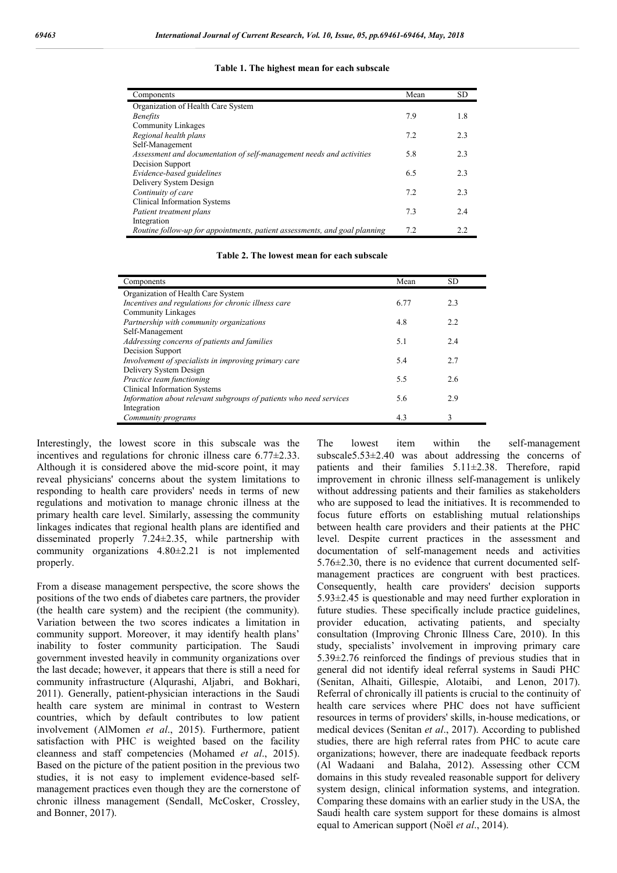| Components                                                                 | Mean | <b>SD</b> |
|----------------------------------------------------------------------------|------|-----------|
| Organization of Health Care System                                         |      |           |
| <b>Benefits</b>                                                            | 7.9  | 1.8       |
| Community Linkages                                                         |      |           |
| Regional health plans                                                      | 7.2  | 2.3       |
| Self-Management                                                            |      |           |
| Assessment and documentation of self-management needs and activities       | 5.8  | 2.3       |
| Decision Support                                                           |      |           |
| Evidence-based guidelines                                                  | 6.5  | 2.3       |
| Delivery System Design                                                     |      |           |
| Continuity of care                                                         | 7.2  | 2.3       |
| Clinical Information Systems                                               |      |           |
| Patient treatment plans                                                    | 7.3  | 2.4       |
| Integration                                                                |      |           |
| Routine follow-up for appointments, patient assessments, and goal planning | 7.2  | 2.2       |

| Table 1. The highest mean for each subscale |  |  |  |  |
|---------------------------------------------|--|--|--|--|
|---------------------------------------------|--|--|--|--|

| Components                                                         | Mean | <b>SD</b> |
|--------------------------------------------------------------------|------|-----------|
| Organization of Health Care System                                 |      |           |
| Incentives and regulations for chronic illness care                | 6.77 | 2.3       |
| Community Linkages                                                 |      |           |
| Partnership with community organizations                           | 4.8  | 2.2       |
| Self-Management                                                    |      |           |
| Addressing concerns of patients and families                       | 5.1  | 2.4       |
| Decision Support                                                   |      |           |
| Involvement of specialists in improving primary care               | 5.4  | 2.7       |
| Delivery System Design                                             |      |           |
| Practice team functioning                                          | 5.5  | 2.6       |
| Clinical Information Systems                                       |      |           |
| Information about relevant subgroups of patients who need services | 5.6  | 2.9       |
| Integration                                                        |      |           |
| Community programs                                                 | 4.3  | 3         |

Interestingly, the lowest score in this subscale was the incentives and regulations for chronic illness care 6.77±2.33. Although it is considered above the mid-score point, it may reveal physicians' concerns about the system limitations to responding to health care providers' needs in terms of new regulations and motivation to manage chronic illness at the primary health care level. Similarly, assessing the community linkages indicates that regional health plans are identified and disseminated properly 7.24±2.35, while partnership with community organizations 4.80±2.21 is not implemented properly.

From a disease management perspective, the score shows the positions of the two ends of diabetes care partners, the provider (the health care system) and the recipient (the community). Variation between the two scores indicates a limitation in community support. Moreover, it may identify health plans' inability to foster community participation. The Saudi government invested heavily in community organizations over the last decade; however, it appears that there is still a need for community infrastructure (Alqurashi, Aljabri, and Bokhari, 2011). Generally, patient-physician interactions in the Saudi health care system are minimal in contrast to Western countries, which by default contributes to low patient involvement (AlMomen *et al*., 2015). Furthermore, patient satisfaction with PHC is weighted based on the facility cleanness and staff competencies (Mohamed *et al*., 2015). Based on the picture of the patient position in the previous two studies, it is not easy to implement evidence-based selfmanagement practices even though they are the cornerstone of chronic illness management (Sendall, McCosker, Crossley, and Bonner, 2017).

The lowest item within the self-management subscale5.53±2.40 was about addressing the concerns of patients and their families 5.11±2.38. Therefore, rapid improvement in chronic illness self-management is unlikely without addressing patients and their families as stakeholders who are supposed to lead the initiatives. It is recommended to focus future efforts on establishing mutual relationships between health care providers and their patients at the PHC level. Despite current practices in the assessment and documentation of self-management needs and activities 5.76±2.30, there is no evidence that current documented selfmanagement practices are congruent with best practices. Consequently, health care providers' decision supports 5.93±2.45 is questionable and may need further exploration in future studies. These specifically include practice guidelines, provider education, activating patients, and specialty consultation (Improving Chronic Illness Care, 2010). In this study, specialists' involvement in improving primary care 5.39±2.76 reinforced the findings of previous studies that in general did not identify ideal referral systems in Saudi PHC (Senitan, Alhaiti, Gillespie, Alotaibi, and Lenon, 2017). Referral of chronically ill patients is crucial to the continuity of health care services where PHC does not have sufficient resources in terms of providers' skills, in-house medications, or medical devices (Senitan *et al*., 2017). According to published studies, there are high referral rates from PHC to acute care organizations; however, there are inadequate feedback reports (Al Wadaani and Balaha, 2012). Assessing other CCM domains in this study revealed reasonable support for delivery system design, clinical information systems, and integration. Comparing these domains with an earlier study in the USA, the Saudi health care system support for these domains is almost equal to American support (Noël *et al*., 2014).